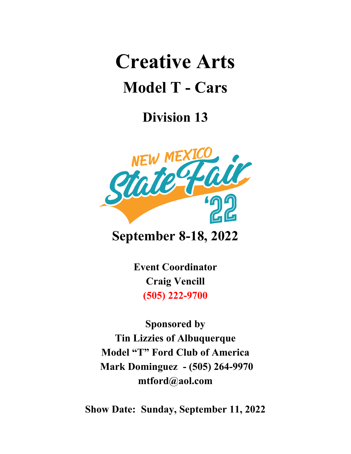# **Creative Arts Model T - Cars**

# **Division 13**



## **September 8-18, 2022**

**Event Coordinator Craig Vencill (505) 222-9700**

**Sponsored by Tin Lizzies of Albuquerque Model "T" Ford Club of America Mark Dominguez - (505) 264-9970 mtford@aol.com**

**Show Date: Sunday, September 11, 2022**